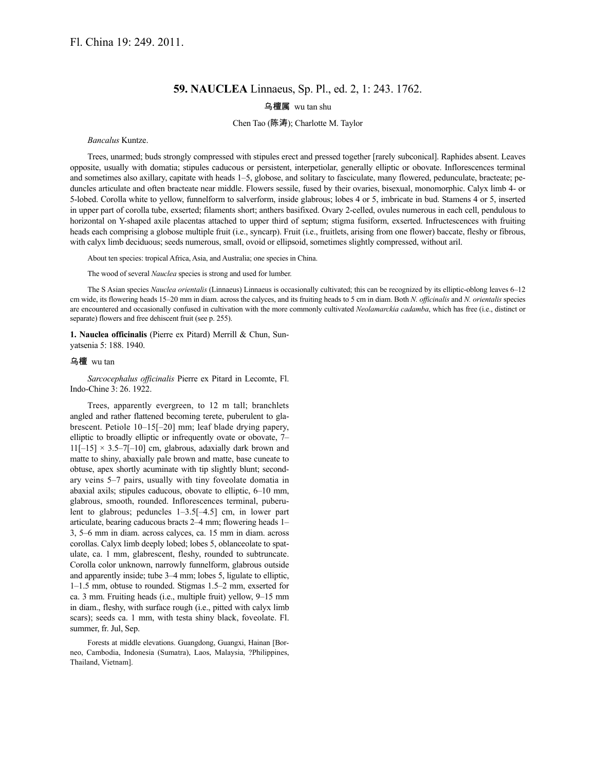## **59. NAUCLEA** Linnaeus, Sp. Pl., ed. 2, 1: 243. 1762.

## 乌檀属 wu tan shu

## Chen Tao (陈涛); Charlotte M. Taylor

*Bancalus* Kuntze.

Trees, unarmed; buds strongly compressed with stipules erect and pressed together [rarely subconical]. Raphides absent. Leaves opposite, usually with domatia; stipules caducous or persistent, interpetiolar, generally elliptic or obovate. Inflorescences terminal and sometimes also axillary, capitate with heads 1–5, globose, and solitary to fasciculate, many flowered, pedunculate, bracteate; peduncles articulate and often bracteate near middle. Flowers sessile, fused by their ovaries, bisexual, monomorphic. Calyx limb 4- or 5-lobed. Corolla white to yellow, funnelform to salverform, inside glabrous; lobes 4 or 5, imbricate in bud. Stamens 4 or 5, inserted in upper part of corolla tube, exserted; filaments short; anthers basifixed. Ovary 2-celled, ovules numerous in each cell, pendulous to horizontal on Y-shaped axile placentas attached to upper third of septum; stigma fusiform, exserted. Infructescences with fruiting heads each comprising a globose multiple fruit (i.e., syncarp). Fruit (i.e., fruitlets, arising from one flower) baccate, fleshy or fibrous, with calyx limb deciduous; seeds numerous, small, ovoid or ellipsoid, sometimes slightly compressed, without aril.

About ten species: tropical Africa, Asia, and Australia; one species in China.

The wood of several *Nauclea* species is strong and used for lumber.

The S Asian species *Nauclea orientalis* (Linnaeus) Linnaeus is occasionally cultivated; this can be recognized by its elliptic-oblong leaves 6–12 cm wide, its flowering heads 15–20 mm in diam. across the calyces, and its fruiting heads to 5 cm in diam. Both *N. officinalis* and *N. orientalis* species are encountered and occasionally confused in cultivation with the more commonly cultivated *Neolamarckia cadamba*, which has free (i.e., distinct or separate) flowers and free dehiscent fruit (see p. 255).

**1. Nauclea officinalis** (Pierre ex Pitard) Merrill & Chun, Sunyatsenia 5: 188. 1940.

## 乌檀 wu tan

*Sarcocephalus officinalis* Pierre ex Pitard in Lecomte, Fl. Indo-Chine 3: 26. 1922.

Trees, apparently evergreen, to 12 m tall; branchlets angled and rather flattened becoming terete, puberulent to glabrescent. Petiole 10–15[–20] mm; leaf blade drying papery, elliptic to broadly elliptic or infrequently ovate or obovate, 7–  $11[-15] \times 3.5-7[-10]$  cm, glabrous, adaxially dark brown and matte to shiny, abaxially pale brown and matte, base cuneate to obtuse, apex shortly acuminate with tip slightly blunt; secondary veins 5–7 pairs, usually with tiny foveolate domatia in abaxial axils; stipules caducous, obovate to elliptic, 6–10 mm, glabrous, smooth, rounded. Inflorescences terminal, puberulent to glabrous; peduncles 1–3.5[–4.5] cm, in lower part articulate, bearing caducous bracts 2–4 mm; flowering heads 1– 3, 5–6 mm in diam. across calyces, ca. 15 mm in diam. across corollas. Calyx limb deeply lobed; lobes 5, oblanceolate to spatulate, ca. 1 mm, glabrescent, fleshy, rounded to subtruncate. Corolla color unknown, narrowly funnelform, glabrous outside and apparently inside; tube 3–4 mm; lobes 5, ligulate to elliptic, 1–1.5 mm, obtuse to rounded. Stigmas 1.5–2 mm, exserted for ca. 3 mm. Fruiting heads (i.e., multiple fruit) yellow, 9–15 mm in diam., fleshy, with surface rough (i.e., pitted with calyx limb scars); seeds ca. 1 mm, with testa shiny black, foveolate. Fl. summer, fr. Jul, Sep.

Forests at middle elevations. Guangdong, Guangxi, Hainan [Borneo, Cambodia, Indonesia (Sumatra), Laos, Malaysia, ?Philippines, Thailand, Vietnam].